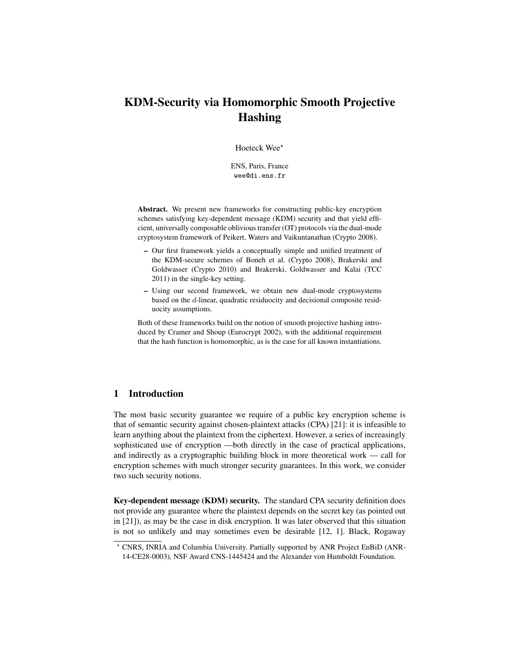# KDM-Security via Homomorphic Smooth Projective **Hashing**

Hoeteck Wee\*

ENS, Paris, France wee@di.ens.fr

Abstract. We present new frameworks for constructing public-key encryption schemes satisfying key-dependent message (KDM) security and that yield efficient, universally composable oblivious transfer (OT) protocols via the dual-mode cryptosystem framework of Peikert, Waters and Vaikuntanathan (Crypto 2008).

- Our first framework yields a conceptually simple and unified treatment of the KDM-secure schemes of Boneh et al. (Crypto 2008), Brakerski and Goldwasser (Crypto 2010) and Brakerski, Goldwasser and Kalai (TCC 2011) in the single-key setting.
- Using our second framework, we obtain new dual-mode cryptosystems based on the d-linear, quadratic residuocity and decisional composite residuocity assumptions.

Both of these frameworks build on the notion of smooth projective hashing introduced by Cramer and Shoup (Eurocrypt 2002), with the additional requirement that the hash function is homomorphic, as is the case for all known instantiations.

### 1 Introduction

The most basic security guarantee we require of a public key encryption scheme is that of semantic security against chosen-plaintext attacks (CPA) [21]: it is infeasible to learn anything about the plaintext from the ciphertext. However, a series of increasingly sophisticated use of encryption —both directly in the case of practical applications, and indirectly as a cryptographic building block in more theoretical work — call for encryption schemes with much stronger security guarantees. In this work, we consider two such security notions.

Key-dependent message (KDM) security. The standard CPA security definition does not provide any guarantee where the plaintext depends on the secret key (as pointed out in [21]), as may be the case in disk encryption. It was later observed that this situation is not so unlikely and may sometimes even be desirable [12, 1]. Black, Rogaway

<sup>?</sup> CNRS, INRIA and Columbia University. Partially supported by ANR Project EnBiD (ANR-14-CE28-0003), NSF Award CNS-1445424 and the Alexander von Humboldt Foundation.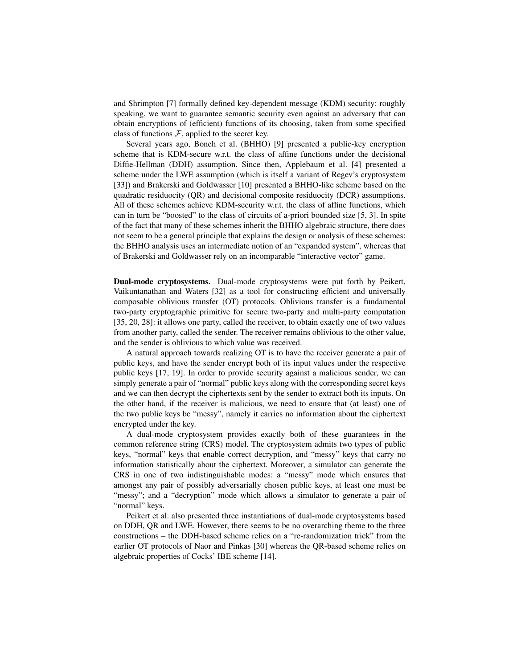and Shrimpton [7] formally defined key-dependent message (KDM) security: roughly speaking, we want to guarantee semantic security even against an adversary that can obtain encryptions of (efficient) functions of its choosing, taken from some specified class of functions  $F$ , applied to the secret key.

Several years ago, Boneh et al. (BHHO) [9] presented a public-key encryption scheme that is KDM-secure w.r.t. the class of affine functions under the decisional Diffie-Hellman (DDH) assumption. Since then, Applebaum et al. [4] presented a scheme under the LWE assumption (which is itself a variant of Regev's cryptosystem [33]) and Brakerski and Goldwasser [10] presented a BHHO-like scheme based on the quadratic residuocity (QR) and decisional composite residuocity (DCR) assumptions. All of these schemes achieve KDM-security w.r.t. the class of affine functions, which can in turn be "boosted" to the class of circuits of a-priori bounded size [5, 3]. In spite of the fact that many of these schemes inherit the BHHO algebraic structure, there does not seem to be a general principle that explains the design or analysis of these schemes: the BHHO analysis uses an intermediate notion of an "expanded system", whereas that of Brakerski and Goldwasser rely on an incomparable "interactive vector" game.

Dual-mode cryptosystems. Dual-mode cryptosystems were put forth by Peikert, Vaikuntanathan and Waters [32] as a tool for constructing efficient and universally composable oblivious transfer (OT) protocols. Oblivious transfer is a fundamental two-party cryptographic primitive for secure two-party and multi-party computation [35, 20, 28]: it allows one party, called the receiver, to obtain exactly one of two values from another party, called the sender. The receiver remains oblivious to the other value, and the sender is oblivious to which value was received.

A natural approach towards realizing OT is to have the receiver generate a pair of public keys, and have the sender encrypt both of its input values under the respective public keys [17, 19]. In order to provide security against a malicious sender, we can simply generate a pair of "normal" public keys along with the corresponding secret keys and we can then decrypt the ciphertexts sent by the sender to extract both its inputs. On the other hand, if the receiver is malicious, we need to ensure that (at least) one of the two public keys be "messy", namely it carries no information about the ciphertext encrypted under the key.

A dual-mode cryptosystem provides exactly both of these guarantees in the common reference string (CRS) model. The cryptosystem admits two types of public keys, "normal" keys that enable correct decryption, and "messy" keys that carry no information statistically about the ciphertext. Moreover, a simulator can generate the CRS in one of two indistinguishable modes: a "messy" mode which ensures that amongst any pair of possibly adversarially chosen public keys, at least one must be "messy"; and a "decryption" mode which allows a simulator to generate a pair of "normal" keys.

Peikert et al. also presented three instantiations of dual-mode cryptosystems based on DDH, QR and LWE. However, there seems to be no overarching theme to the three constructions – the DDH-based scheme relies on a "re-randomization trick" from the earlier OT protocols of Naor and Pinkas [30] whereas the QR-based scheme relies on algebraic properties of Cocks' IBE scheme [14].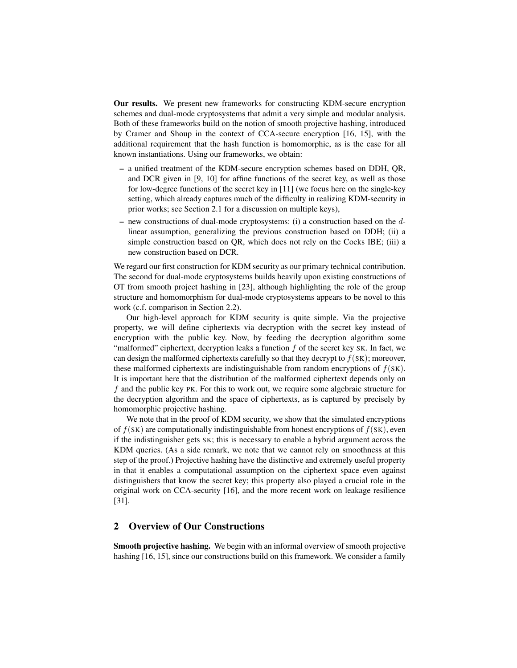Our results. We present new frameworks for constructing KDM-secure encryption schemes and dual-mode cryptosystems that admit a very simple and modular analysis. Both of these frameworks build on the notion of smooth projective hashing, introduced by Cramer and Shoup in the context of CCA-secure encryption [16, 15], with the additional requirement that the hash function is homomorphic, as is the case for all known instantiations. Using our frameworks, we obtain:

- a unified treatment of the KDM-secure encryption schemes based on DDH, QR, and DCR given in [9, 10] for affine functions of the secret key, as well as those for low-degree functions of the secret key in [11] (we focus here on the single-key setting, which already captures much of the difficulty in realizing KDM-security in prior works; see Section 2.1 for a discussion on multiple keys),
- $-$  new constructions of dual-mode cryptosystems: (i) a construction based on the  $d$ linear assumption, generalizing the previous construction based on DDH; (ii) a simple construction based on QR, which does not rely on the Cocks IBE; (iii) a new construction based on DCR.

We regard our first construction for KDM security as our primary technical contribution. The second for dual-mode cryptosystems builds heavily upon existing constructions of OT from smooth project hashing in [23], although highlighting the role of the group structure and homomorphism for dual-mode cryptosystems appears to be novel to this work (c.f. comparison in Section 2.2).

Our high-level approach for KDM security is quite simple. Via the projective property, we will define ciphertexts via decryption with the secret key instead of encryption with the public key. Now, by feeding the decryption algorithm some "malformed" ciphertext, decryption leaks a function  $f$  of the secret key SK. In fact, we can design the malformed ciphertexts carefully so that they decrypt to  $f(SK)$ ; moreover, these malformed ciphertexts are indistinguishable from random encryptions of  $f(SK)$ . It is important here that the distribution of the malformed ciphertext depends only on f and the public key PK. For this to work out, we require some algebraic structure for the decryption algorithm and the space of ciphertexts, as is captured by precisely by homomorphic projective hashing.

We note that in the proof of KDM security, we show that the simulated encryptions of  $f(SK)$  are computationally indistinguishable from honest encryptions of  $f(SK)$ , even if the indistinguisher gets SK; this is necessary to enable a hybrid argument across the KDM queries. (As a side remark, we note that we cannot rely on smoothness at this step of the proof.) Projective hashing have the distinctive and extremely useful property in that it enables a computational assumption on the ciphertext space even against distinguishers that know the secret key; this property also played a crucial role in the original work on CCA-security [16], and the more recent work on leakage resilience [31].

## 2 Overview of Our Constructions

Smooth projective hashing. We begin with an informal overview of smooth projective hashing [16, 15], since our constructions build on this framework. We consider a family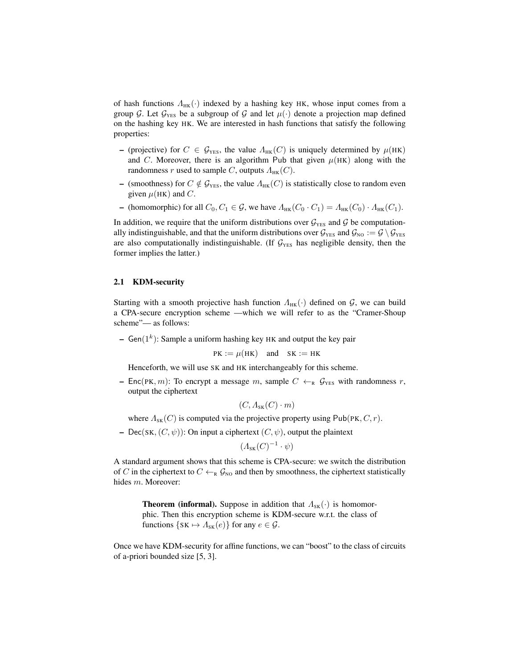of hash functions  $\Lambda_{HK}(\cdot)$  indexed by a hashing key HK, whose input comes from a group G. Let  $G_{\text{YES}}$  be a subgroup of G and let  $\mu(\cdot)$  denote a projection map defined on the hashing key HK. We are interested in hash functions that satisfy the following properties:

- (projective) for  $C \in \mathcal{G}_{\text{YES}}$ , the value  $\Lambda_{\text{HK}}(C)$  is uniquely determined by  $\mu(\text{HK})$ and C. Moreover, there is an algorithm Pub that given  $\mu(HK)$  along with the randomness r used to sample C, outputs  $\Lambda_{HK}(C)$ .
- (smoothness) for  $C \notin \mathcal{G}_{\text{YES}}$ , the value  $\Lambda_{\text{HK}}(C)$  is statistically close to random even given  $\mu$ (HK) and C.
- (homomorphic) for all  $C_0, C_1 \in \mathcal{G}$ , we have  $\Lambda_{HK}(C_0 \cdot C_1) = \Lambda_{HK}(C_0) \cdot \Lambda_{HK}(C_1)$ .

In addition, we require that the uniform distributions over  $G_{\text{YES}}$  and G be computationally indistinguishable, and that the uniform distributions over  $\mathcal{G}_{\text{YES}}$  and  $\mathcal{G}_{\text{NO}} := \mathcal{G} \setminus \mathcal{G}_{\text{YES}}$ are also computationally indistinguishable. (If  $G_{\text{YES}}$  has negligible density, then the former implies the latter.)

### 2.1 KDM-security

Starting with a smooth projective hash function  $\Lambda_{HK}(\cdot)$  defined on  $\mathcal{G}$ , we can build a CPA-secure encryption scheme —which we will refer to as the "Cramer-Shoup scheme"— as follows:

- Gen( $1^k$ ): Sample a uniform hashing key HK and output the key pair

$$
PK := \mu(HK) \quad \text{and} \quad SK := HK
$$

Henceforth, we will use SK and HK interchangeably for this scheme.

– Enc(PK, m): To encrypt a message m, sample  $C \leftarrow_R \mathcal{G}_{\text{YES}}$  with randomness r, output the ciphertext

$$
(C, \Lambda_{\rm SK}(C) \cdot m)
$$

where  $\Lambda_{\rm SK}(C)$  is computed via the projective property using Pub(PK, C, r).

– Dec(SK,  $(C, \psi)$ ): On input a ciphertext  $(C, \psi)$ , output the plaintext

$$
(A_{\rm SK}(C)^{-1}\cdot\psi)
$$

A standard argument shows that this scheme is CPA-secure: we switch the distribution of C in the ciphertext to  $C \leftarrow_R \mathcal{G}_{NO}$  and then by smoothness, the ciphertext statistically hides m. Moreover:

**Theorem (informal).** Suppose in addition that  $\Lambda_{SK}(\cdot)$  is homomorphic. Then this encryption scheme is KDM-secure w.r.t. the class of functions  $\{SK \mapsto \Lambda_{SK}(e)\}\$ for any  $e \in \mathcal{G}$ .

Once we have KDM-security for affine functions, we can "boost" to the class of circuits of a-priori bounded size [5, 3].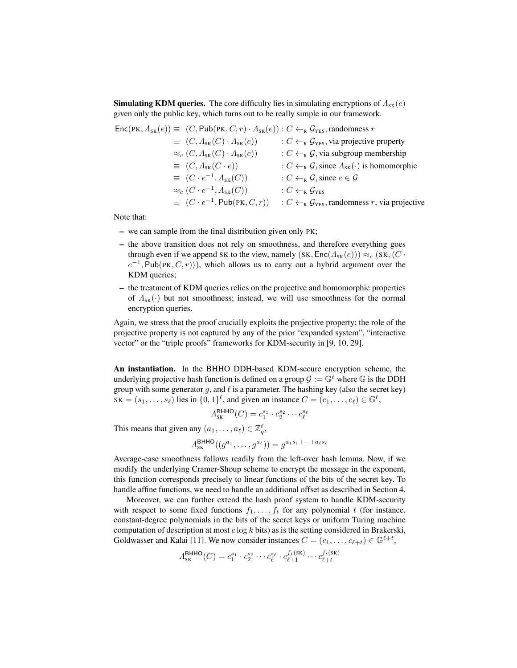**Simulating KDM queries.** The core difficulty lies in simulating encryptions of  $\Lambda_{\rm SK}(e)$ given only the public key, which turns out to be really simple in our framework.

$$
\begin{aligned}\n\text{Enc}(\text{PK}, \Lambda_{\text{SK}}(e)) &\equiv (C, \text{Pub}(\text{PK}, C, r) \cdot \Lambda_{\text{SK}}(e)) : C \leftarrow_{\text{R}} \mathcal{G}_{\text{YES}}, \text{randomness } r \\
&\equiv (C, \Lambda_{\text{SK}}(C) \cdot \Lambda_{\text{SK}}(e)) : C \leftarrow_{\text{R}} \mathcal{G}_{\text{YES}}, \text{via projective property} \\
&\approx_c (C, \Lambda_{\text{SK}}(C) \cdot \Lambda_{\text{SK}}(e)) : C \leftarrow_{\text{R}} \mathcal{G}, \text{via subgroup membership} \\
&\equiv (C, \Lambda_{\text{SK}}(C \cdot e)) : C \leftarrow_{\text{R}} \mathcal{G}, \text{since } \Lambda_{\text{SK}}(\cdot) \text{ is homomorphic} \\
&\equiv (C \cdot e^{-1}, \Lambda_{\text{SK}}(C)) : C \leftarrow_{\text{R}} \mathcal{G}, \text{since } e \in \mathcal{G} \\
&\approx_c (C \cdot e^{-1}, \Lambda_{\text{SK}}(C)) : C \leftarrow_{\text{R}} \mathcal{G}_{\text{YES}}, \text{randomness } r, \text{via projective}\n\end{aligned}
$$

Note that:

- we can sample from the final distribution given only PK;
- the above transition does not rely on smoothness, and therefore everything goes through even if we append SK to the view, namely  $(SK, Enc(A_{SK}(e))) \approx_c (SK, (C \cdot$  $e^{-1}$ , Pub(PK, C, r))), which allows us to carry out a hybrid argument over the KDM queries;
- the treatment of KDM queries relies on the projective and homomorphic properties of  $\Lambda_{\rm sk}(\cdot)$  but not smoothness; instead, we will use smoothness for the normal encryption queries.

Again, we stress that the proof crucially exploits the projective property; the role of the projective property is not captured by any of the prior "expanded system", "interactive vector" or the "triple proofs" frameworks for KDM-security in [9, 10, 29].

An instantiation. In the BHHO DDH-based KDM-secure encryption scheme, the underlying projective hash function is defined on a group  $\mathcal{G} := \mathbb{G}^{\ell}$  where  $\mathbb{G}$  is the DDH group with some generator g, and  $\ell$  is a parameter. The hashing key (also the secret key)  $\overline{SK} = (s_1, \ldots, s_\ell)$  lies in  $\{0, 1\}^\ell$ , and given an instance  $C = (c_1, \ldots, c_\ell) \in \mathbb{G}^\ell$ ,

$$
\Lambda_{\rm SK}^{\rm BHHO}(C)=c_1^{s_1}\cdot c_2^{s_2}\cdots c_\ell^{s_\ell}
$$

This means that given any  $(a_1, \ldots, a_\ell) \in \mathbb{Z}_q^\ell$ ,

$$
\Lambda_{\rm SK}^{\rm BHHO}((g^{a_1},\ldots,g^{a_\ell}))=g^{a_1s_1+\cdots+a_\ell s_\ell}
$$

Average-case smoothness follows readily from the left-over hash lemma. Now, if we modify the underlying Cramer-Shoup scheme to encrypt the message in the exponent, this function corresponds precisely to linear functions of the bits of the secret key. To handle affine functions, we need to handle an additional offset as described in Section 4.

Moreover, we can further extend the hash proof system to handle KDM-security with respect to some fixed functions  $f_1, \ldots, f_t$  for any polynomial t (for instance, constant-degree polynomials in the bits of the secret keys or uniform Turing machine computation of description at most  $c \log k$  bits) as is the setting considered in Brakerski, Goldwasser and Kalai [11]. We now consider instances  $C = (c_1, \ldots, c_{\ell+t}) \in \mathbb{G}^{\ell+t}$ ,

$$
\Lambda_{\rm SK}^{\rm BHHO}(C) = c_1^{s_1} \cdot c_2^{s_2} \cdots c_\ell^{s_\ell} \cdot c_{\ell+1}^{f_1({\rm SK})} \cdots c_{\ell+t}^{f_t({\rm SK})}
$$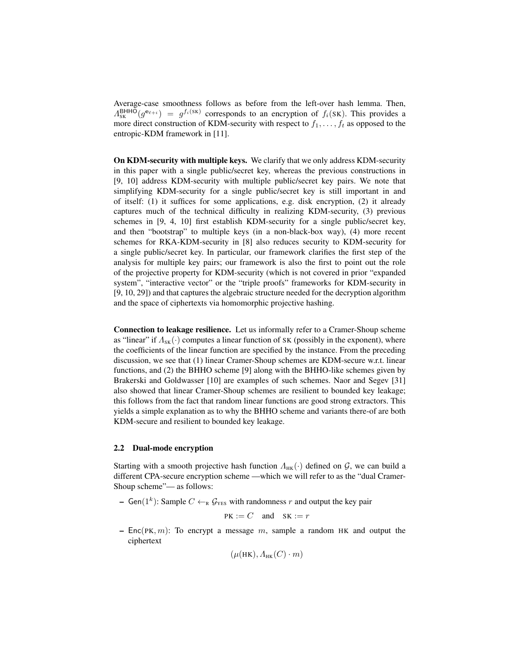Average-case smoothness follows as before from the left-over hash lemma. Then,  $\Lambda_{\rm SK}^{\rm BHHO}(g^{{\bf e}_{\ell+i}}) = g^{f_i({\rm SK})}$  corresponds to an encryption of  $f_i({\rm SK})$ . This provides a more direct construction of KDM-security with respect to  $f_1, \ldots, f_t$  as opposed to the entropic-KDM framework in [11].

On KDM-security with multiple keys. We clarify that we only address KDM-security in this paper with a single public/secret key, whereas the previous constructions in [9, 10] address KDM-security with multiple public/secret key pairs. We note that simplifying KDM-security for a single public/secret key is still important in and of itself: (1) it suffices for some applications, e.g. disk encryption, (2) it already captures much of the technical difficulty in realizing KDM-security, (3) previous schemes in [9, 4, 10] first establish KDM-security for a single public/secret key, and then "bootstrap" to multiple keys (in a non-black-box way), (4) more recent schemes for RKA-KDM-security in [8] also reduces security to KDM-security for a single public/secret key. In particular, our framework clarifies the first step of the analysis for multiple key pairs; our framework is also the first to point out the role of the projective property for KDM-security (which is not covered in prior "expanded system", "interactive vector" or the "triple proofs" frameworks for KDM-security in [9, 10, 29]) and that captures the algebraic structure needed for the decryption algorithm and the space of ciphertexts via homomorphic projective hashing.

Connection to leakage resilience. Let us informally refer to a Cramer-Shoup scheme as "linear" if  $\Lambda_{SK}(\cdot)$  computes a linear function of SK (possibly in the exponent), where the coefficients of the linear function are specified by the instance. From the preceding discussion, we see that (1) linear Cramer-Shoup schemes are KDM-secure w.r.t. linear functions, and (2) the BHHO scheme [9] along with the BHHO-like schemes given by Brakerski and Goldwasser [10] are examples of such schemes. Naor and Segev [31] also showed that linear Cramer-Shoup schemes are resilient to bounded key leakage; this follows from the fact that random linear functions are good strong extractors. This yields a simple explanation as to why the BHHO scheme and variants there-of are both KDM-secure and resilient to bounded key leakage.

#### 2.2 Dual-mode encryption

Starting with a smooth projective hash function  $\Lambda_{HK}(\cdot)$  defined on  $\mathcal{G}$ , we can build a different CPA-secure encryption scheme —which we will refer to as the "dual Cramer-Shoup scheme"— as follows:

– Gen(1<sup>k</sup>): Sample *C* ←<sub>R</sub>  $\mathcal{G}_{\text{YES}}$  with randomness *r* and output the key pair

$$
PK := C \quad \text{and} \quad SK := r
$$

–  $Enc(PK, m)$ : To encrypt a message m, sample a random HK and output the ciphertext

$$
(\mu(HK), \Lambda_{HK}(C) \cdot m)
$$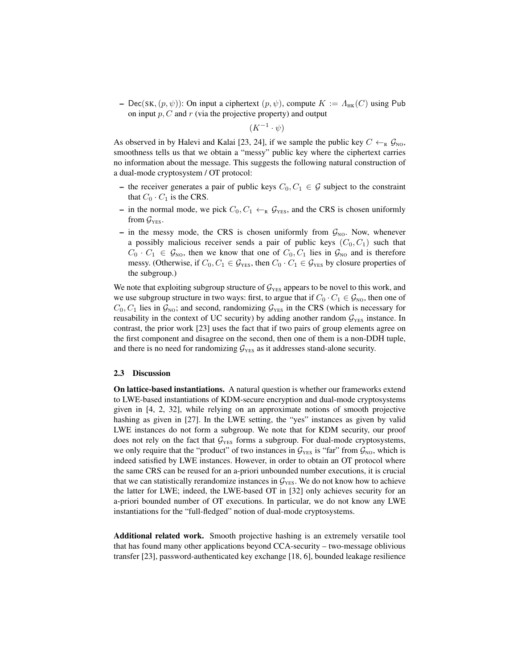– Dec(SK,  $(p, \psi)$ ): On input a ciphertext  $(p, \psi)$ , compute  $K := \Lambda_{HK}(C)$  using Pub on input  $p, C$  and  $r$  (via the projective property) and output

$$
(K^{-1}\cdot\psi)
$$

As observed in by Halevi and Kalai [23, 24], if we sample the public key  $C \leftarrow_R \mathcal{G}_{\text{NO}}$ , smoothness tells us that we obtain a "messy" public key where the ciphertext carries no information about the message. This suggests the following natural construction of a dual-mode cryptosystem / OT protocol:

- the receiver generates a pair of public keys  $C_0, C_1 \in \mathcal{G}$  subject to the constraint that  $C_0 \cdot C_1$  is the CRS.
- in the normal mode, we pick  $C_0, C_1 \leftarrow_R \mathcal{G}_{\text{YES}},$  and the CRS is chosen uniformly from  $\mathcal{G}_{\text{YES}}$ .
- in the messy mode, the CRS is chosen uniformly from  $\mathcal{G}_{NO}$ . Now, whenever a possibly malicious receiver sends a pair of public keys  $(C_0, C_1)$  such that  $C_0 \cdot C_1 \in \mathcal{G}_{\text{NO}}$ , then we know that one of  $C_0, C_1$  lies in  $\mathcal{G}_{\text{NO}}$  and is therefore messy. (Otherwise, if  $C_0, C_1 \in \mathcal{G}_{\text{YES}}$ , then  $C_0 \cdot C_1 \in \mathcal{G}_{\text{YES}}$  by closure properties of the subgroup.)

We note that exploiting subgroup structure of  $G_{\text{YES}}$  appears to be novel to this work, and we use subgroup structure in two ways: first, to argue that if  $C_0 \cdot C_1 \in \mathcal{G}_{NO}$ , then one of  $C_0, C_1$  lies in  $\mathcal{G}_{\text{NO}}$ ; and second, randomizing  $\mathcal{G}_{\text{YES}}$  in the CRS (which is necessary for reusability in the context of UC security) by adding another random  $\mathcal{G}_{\text{YES}}$  instance. In contrast, the prior work [23] uses the fact that if two pairs of group elements agree on the first component and disagree on the second, then one of them is a non-DDH tuple, and there is no need for randomizing  $G_{YES}$  as it addresses stand-alone security.

#### 2.3 Discussion

On lattice-based instantiations. A natural question is whether our frameworks extend to LWE-based instantiations of KDM-secure encryption and dual-mode cryptosystems given in [4, 2, 32], while relying on an approximate notions of smooth projective hashing as given in [27]. In the LWE setting, the "yes" instances as given by valid LWE instances do not form a subgroup. We note that for KDM security, our proof does not rely on the fact that  $G_{\text{YES}}$  forms a subgroup. For dual-mode cryptosystems, we only require that the "product" of two instances in  $\mathcal{G}_{\text{YES}}$  is "far" from  $\mathcal{G}_{\text{NO}}$ , which is indeed satisfied by LWE instances. However, in order to obtain an OT protocol where the same CRS can be reused for an a-priori unbounded number executions, it is crucial that we can statistically rerandomize instances in  $G_{\text{YES}}$ . We do not know how to achieve the latter for LWE; indeed, the LWE-based OT in [32] only achieves security for an a-priori bounded number of OT executions. In particular, we do not know any LWE instantiations for the "full-fledged" notion of dual-mode cryptosystems.

Additional related work. Smooth projective hashing is an extremely versatile tool that has found many other applications beyond CCA-security – two-message oblivious transfer [23], password-authenticated key exchange [18, 6], bounded leakage resilience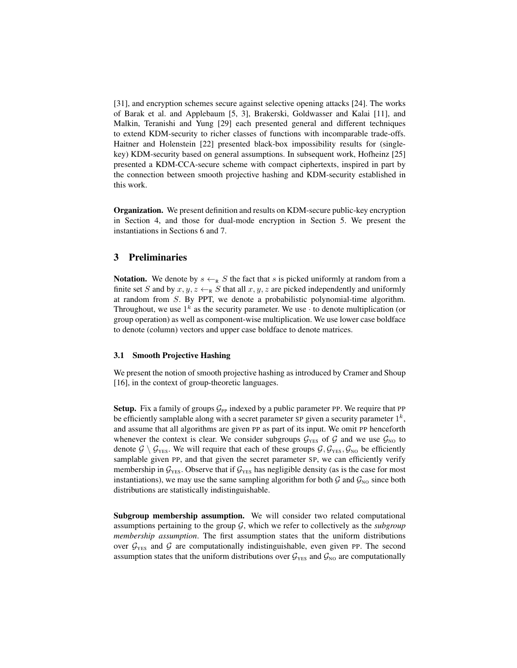[31], and encryption schemes secure against selective opening attacks [24]. The works of Barak et al. and Applebaum [5, 3], Brakerski, Goldwasser and Kalai [11], and Malkin, Teranishi and Yung [29] each presented general and different techniques to extend KDM-security to richer classes of functions with incomparable trade-offs. Haitner and Holenstein [22] presented black-box impossibility results for (singlekey) KDM-security based on general assumptions. In subsequent work, Hofheinz [25] presented a KDM-CCA-secure scheme with compact ciphertexts, inspired in part by the connection between smooth projective hashing and KDM-security established in this work.

Organization. We present definition and results on KDM-secure public-key encryption in Section 4, and those for dual-mode encryption in Section 5. We present the instantiations in Sections 6 and 7.

### 3 Preliminaries

**Notation.** We denote by  $s \leftarrow_R S$  the fact that s is picked uniformly at random from a finite set S and by  $x, y, z \leftarrow_R S$  that all  $x, y, z$  are picked independently and uniformly at random from S. By PPT, we denote a probabilistic polynomial-time algorithm. Throughout, we use  $1^k$  as the security parameter. We use  $\cdot$  to denote multiplication (or group operation) as well as component-wise multiplication. We use lower case boldface to denote (column) vectors and upper case boldface to denote matrices.

#### 3.1 Smooth Projective Hashing

We present the notion of smooth projective hashing as introduced by Cramer and Shoup [16], in the context of group-theoretic languages.

**Setup.** Fix a family of groups  $\mathcal{G}_{PP}$  indexed by a public parameter PP. We require that PP be efficiently samplable along with a secret parameter SP given a security parameter  $1^k$ , and assume that all algorithms are given PP as part of its input. We omit PP henceforth whenever the context is clear. We consider subgroups  $G_{\text{YES}}$  of G and we use  $G_{\text{NO}}$  to denote  $G \setminus G_{\text{YES}}$ . We will require that each of these groups  $G, G_{\text{YES}}, G_{\text{NO}}$  be efficiently samplable given PP, and that given the secret parameter SP, we can efficiently verify membership in  $\mathcal{G}_{\text{YES}}$ . Observe that if  $\mathcal{G}_{\text{YES}}$  has negligible density (as is the case for most instantiations), we may use the same sampling algorithm for both  $\mathcal{G}$  and  $\mathcal{G}_{NO}$  since both distributions are statistically indistinguishable.

Subgroup membership assumption. We will consider two related computational assumptions pertaining to the group G, which we refer to collectively as the *subgroup membership assumption*. The first assumption states that the uniform distributions over  $G_{\text{YES}}$  and G are computationally indistinguishable, even given PP. The second assumption states that the uniform distributions over  $G_{\text{YES}}$  and  $G_{\text{NO}}$  are computationally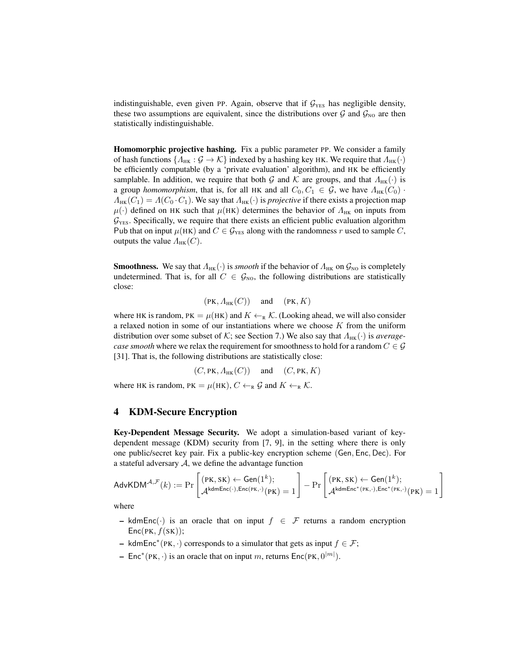indistinguishable, even given PP. Again, observe that if  $G_{\text{YES}}$  has negligible density, these two assumptions are equivalent, since the distributions over  $G$  and  $G_{NQ}$  are then statistically indistinguishable.

Homomorphic projective hashing. Fix a public parameter PP. We consider a family of hash functions  $\{\Lambda_{HK} : \mathcal{G} \to \mathcal{K}\}\$ indexed by a hashing key HK. We require that  $\Lambda_{HK}(\cdot)$ be efficiently computable (by a 'private evaluation' algorithm), and HK be efficiently samplable. In addition, we require that both G and K are groups, and that  $\Lambda_{HK}(\cdot)$  is a group *homomorphism*, that is, for all HK and all  $C_0, C_1 \in \mathcal{G}$ , we have  $\Lambda_{HK}(C_0)$ .  $\Lambda_{HK}(C_1) = \Lambda(C_0 \cdot C_1)$ . We say that  $\Lambda_{HK}(\cdot)$  is *projective* if there exists a projection map  $\mu$ (·) defined on HK such that  $\mu$ (HK) determines the behavior of  $\Lambda_{HK}$  on inputs from  $G_{\text{YES}}$ . Specifically, we require that there exists an efficient public evaluation algorithm Pub that on input  $\mu(HK)$  and  $C \in \mathcal{G}_{\text{YES}}$  along with the randomness r used to sample C, outputs the value  $\Lambda_{HK}(C)$ .

**Smoothness.** We say that  $\Lambda_{HK}(\cdot)$  is *smooth* if the behavior of  $\Lambda_{HK}$  on  $\mathcal{G}_{NO}$  is completely undetermined. That is, for all  $C \in \mathcal{G}_{NO}$ , the following distributions are statistically close:

$$
(PK, A_{HK}(C))
$$
 and  $(PK, K)$ 

where HK is random, PK =  $\mu$ (HK) and  $K \leftarrow_R \mathcal{K}$ . (Looking ahead, we will also consider a relaxed notion in some of our instantiations where we choose  $K$  from the uniform distribution over some subset of K; see Section 7.) We also say that  $\Lambda_{HK}(\cdot)$  is *averagecase smooth* where we relax the requirement for smoothness to hold for a random  $C \in \mathcal{G}$ [31]. That is, the following distributions are statistically close:

$$
(C, PK, A_{HK}(C))
$$
 and  $(C, PK, K)$ 

where HK is random,  $PK = \mu(HK)$ ,  $C \leftarrow_R \mathcal{G}$  and  $K \leftarrow_R \mathcal{K}$ .

### 4 KDM-Secure Encryption

Key-Dependent Message Security. We adopt a simulation-based variant of keydependent message (KDM) security from [7, 9], in the setting where there is only one public/secret key pair. Fix a public-key encryption scheme (Gen, Enc, Dec). For a stateful adversary  $A$ , we define the advantage function

$$
\mathsf{AdvKDM}^{\mathcal{A},\mathcal{F}}(k) := \Pr\left[\begin{matrix} (\text{PK},\text{SK}) \leftarrow \mathsf{Gen}(1^k); \\ \mathcal{A}^{\mathsf{kdmEnc}(\cdot), \mathsf{Enc}(\text{PK},\cdot)}(\text{PK}) = 1 \end{matrix}\right] - \Pr\left[\begin{matrix} (\text{PK},\text{SK}) \leftarrow \mathsf{Gen}(1^k); \\ \mathcal{A}^{\mathsf{kdmEnc}^*(\text{PK},\cdot), \mathsf{Enc}^*(\text{PK},\cdot)}(\text{PK}) = 1 \end{matrix}\right]\right.
$$

where

- kdmEnc(·) is an oracle that on input  $f \in \mathcal{F}$  returns a random encryption  $Enc(PK, f(SK))$ ;
- kdmEnc<sup>\*</sup>(PK, ·) corresponds to a simulator that gets as input  $f \in \mathcal{F}$ ;
- Enc<sup>\*</sup>(PK, ·) is an oracle that on input m, returns Enc(PK,  $0^{|m|}$ ).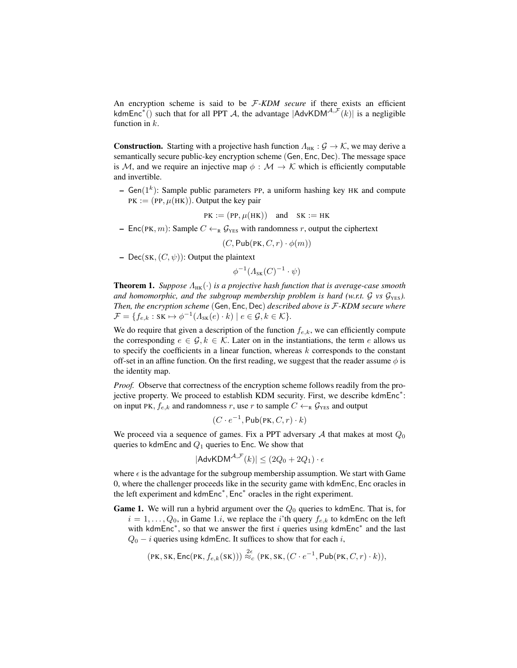An encryption scheme is said to be F*-KDM secure* if there exists an efficient kdmEnc<sup>\*</sup>() such that for all PPT A, the advantage  $|$ AdvKDM<sup>A, $\mathcal{F}(k)|$ </sup> is a negligible function in k.

**Construction.** Starting with a projective hash function  $\Lambda_{HK}$  :  $\mathcal{G} \to \mathcal{K}$ , we may derive a semantically secure public-key encryption scheme (Gen, Enc, Dec). The message space is M, and we require an injective map  $\phi : \mathcal{M} \to \mathcal{K}$  which is efficiently computable and invertible.

- Gen( $1^k$ ): Sample public parameters PP, a uniform hashing key HK and compute  $PK := (PP, \mu(HK))$ . Output the key pair

$$
PK := (PP, \mu(HK)) \text{ and } SK := HK
$$

– Enc(PK, m): Sample  $C \leftarrow_R \mathcal{G}_{\text{YES}}$  with randomness r, output the ciphertext

$$
(C, \mathsf{Pub}(\mathsf{PK}, C, r) \cdot \phi(m))
$$

– Dec(SK,  $(C, \psi)$ ): Output the plaintext

$$
\phi^{-1}(A_{\rm SK}(C)^{-1}\cdot\psi)
$$

**Theorem 1.** *Suppose*  $\Lambda_{HK}(\cdot)$  *is a projective hash function that is average-case smooth and homomorphic, and the subgroup membership problem is hard (w.r.t.*  $\mathcal{G}$  *vs*  $\mathcal{G}_{\text{YES}}$ ). *Then, the encryption scheme* (Gen, Enc, Dec) *described above is* F*-KDM secure where*  $\mathcal{F} = \{f_{e,k} : \text{SK} \mapsto \phi^{-1}(A_{\text{SK}}(e) \cdot k) \mid e \in \mathcal{G}, k \in \mathcal{K}\}.$ 

We do require that given a description of the function  $f_{e,k}$ , we can efficiently compute the corresponding  $e \in \mathcal{G}, k \in \mathcal{K}$ . Later on in the instantiations, the term e allows us to specify the coefficients in a linear function, whereas  $k$  corresponds to the constant off-set in an affine function. On the first reading, we suggest that the reader assume  $\phi$  is the identity map.

*Proof.* Observe that correctness of the encryption scheme follows readily from the projective property. We proceed to establish KDM security. First, we describe kdmEnc<sup>\*</sup>: on input PK,  $f_{e,k}$  and randomness r, use r to sample  $C \leftarrow_R \mathcal{G}_{\text{YES}}$  and output

$$
(C \cdot e^{-1}, \text{Pub}(PK, C, r) \cdot k)
$$

We proceed via a sequence of games. Fix a PPT adversary A that makes at most  $Q_0$ queries to kdmEnc and  $Q_1$  queries to Enc. We show that

$$
|\mathsf{AdvKDM}^{\mathcal{A},\mathcal{F}}(k)| \le (2Q_0 + 2Q_1) \cdot \epsilon
$$

where  $\epsilon$  is the advantage for the subgroup membership assumption. We start with Game 0, where the challenger proceeds like in the security game with kdmEnc, Enc oracles in the left experiment and kdmEnc<sup>∗</sup> , Enc<sup>∗</sup> oracles in the right experiment.

**Game 1.** We will run a hybrid argument over the  $Q_0$  queries to kdmEnc. That is, for  $i = 1, \ldots, Q_0$ , in Game 1.*i*, we replace the *i*'th query  $f_{e,k}$  to kdmEnc on the left with kdmEnc<sup>\*</sup>, so that we answer the first i queries using kdmEnc<sup>\*</sup> and the last  $Q_0 - i$  queries using kdmEnc. It suffices to show that for each i,

$$
(\text{PK}, \text{SK}, \text{Enc}(\text{PK}, f_{e,k}(\text{SK}))) \stackrel{2e}{\approx_c} (\text{PK}, \text{SK}, (C \cdot e^{-1}, \text{Pub}(\text{PK}, C, r) \cdot k)),
$$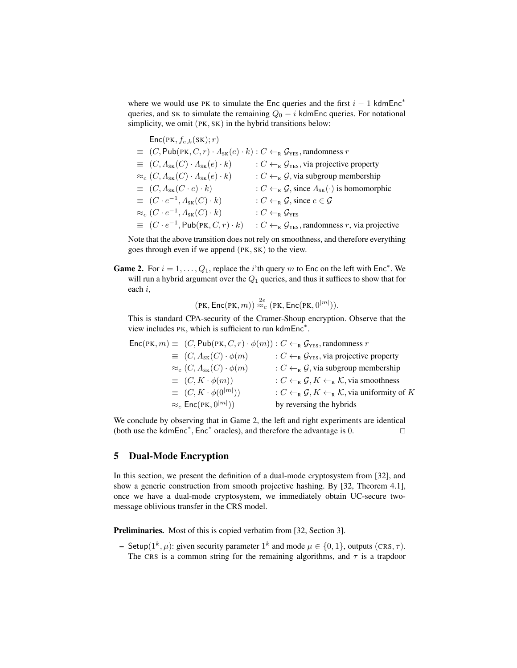where we would use PK to simulate the Enc queries and the first  $i - 1$  kdmEnc<sup>\*</sup> queries, and SK to simulate the remaining  $Q_0 - i$  kdmEnc queries. For notational simplicity, we omit (PK, SK) in the hybrid transitions below:

| $Enc(PK, f_{e,k}(SK); r)$                                                                                   |                                                                                                 |
|-------------------------------------------------------------------------------------------------------------|-------------------------------------------------------------------------------------------------|
| $\equiv (C, \text{Pub}(PK, C, r) \cdot A_{SK}(e) \cdot k) : C \leftarrow_R \mathcal{G}_{YES},$ randomness r |                                                                                                 |
| $\equiv (C, \Lambda_{SK}(C) \cdot \Lambda_{SK}(e) \cdot k)$                                                 | : $C \leftarrow_R \mathcal{G}_{\text{YES}}$ , via projective property                           |
| $\approx_c (C, \Lambda_{\rm SK}(C) \cdot \Lambda_{\rm SK}(e) \cdot k)$                                      | : $C \leftarrow_R \mathcal{G}$ , via subgroup membership                                        |
| $\equiv (C, \Lambda_{\rm SK}(C \cdot e) \cdot k)$                                                           | : $C \leftarrow_{\mathbb{R}} \mathcal{G}$ , since $\Lambda_{\mathbf{sk}}(\cdot)$ is homomorphic |
| $\equiv (C \cdot e^{-1}, \Lambda_{\rm SK}(C) \cdot k)$                                                      | : $C \leftarrow_R \mathcal{G}$ , since $e \in \mathcal{G}$                                      |
| $\approx_c (C \cdot e^{-1}, \Lambda_{\rm SK}(C) \cdot k)$                                                   | : $C \leftarrow_{\text{R}} \mathcal{G}_{\text{YFS}}$                                            |
| $\equiv (C \cdot e^{-1}, \text{Pub}(PK, C, r) \cdot k)$                                                     | : $C \leftarrow_R \mathcal{G}_{\text{YES}},$ randomness r, via projective                       |

Note that the above transition does not rely on smoothness, and therefore everything goes through even if we append (PK, SK) to the view.

**Game 2.** For  $i = 1, ..., Q_1$ , replace the *i*'th query m to Enc on the left with Enc<sup>\*</sup>. We will run a hybrid argument over the  $Q_1$  queries, and thus it suffices to show that for each i,

$$
(\text{PK},\text{Enc}(\text{PK},m)) \stackrel{2\epsilon}{\approx_c} (\text{PK},\text{Enc}(\text{PK},0^{|m|})).
$$

This is standard CPA-security of the Cramer-Shoup encryption. Observe that the view includes PK, which is sufficient to run kdmEnc<sup>\*</sup>.

|                                                    | $\mathsf{Enc}(\mathsf{PK}, m) \equiv (C, \mathsf{Pub}(\mathsf{PK}, C, r) \cdot \phi(m)) : C \leftarrow_{\mathsf{R}} \mathcal{G}_{\mathsf{YES}},$ randomness r |
|----------------------------------------------------|---------------------------------------------------------------------------------------------------------------------------------------------------------------|
| $\equiv (C, \Lambda_{\rm SK}(C) \cdot \phi(m))$    | : $C \leftarrow_R \mathcal{G}_{\text{YES}}$ , via projective property                                                                                         |
| $\approx_c (C, \Lambda_{\rm SK}(C) \cdot \phi(m))$ | : $C \leftarrow_{\mathbb{R}} \mathcal{G}$ , via subgroup membership                                                                                           |
| $\equiv (C, K \cdot \phi(m))$                      | : $C \leftarrow_R \mathcal{G}, K \leftarrow_R \mathcal{K}$ , via smoothness                                                                                   |
| $\equiv (C, K \cdot \phi(0^{ m }))$                | : $C \leftarrow_R \mathcal{G}, K \leftarrow_R \mathcal{K}$ , via uniformity of K                                                                              |
| $\approx_c$ Enc(PK, $0^{ m }$ ))                   | by reversing the hybrids                                                                                                                                      |

We conclude by observing that in Game 2, the left and right experiments are identical (both use the kdmEnc<sup>\*</sup>, Enc<sup>\*</sup> oracles), and therefore the advantage is 0.  $□$ 

### 5 Dual-Mode Encryption

In this section, we present the definition of a dual-mode cryptosystem from [32], and show a generic construction from smooth projective hashing. By [32, Theorem 4.1], once we have a dual-mode cryptosystem, we immediately obtain UC-secure twomessage oblivious transfer in the CRS model.

Preliminaries. Most of this is copied verbatim from [32, Section 3].

- Setup $(1^k, \mu)$ : given security parameter  $1^k$  and mode  $\mu \in \{0, 1\}$ , outputs  $(CRS, \tau)$ . The CRS is a common string for the remaining algorithms, and  $\tau$  is a trapdoor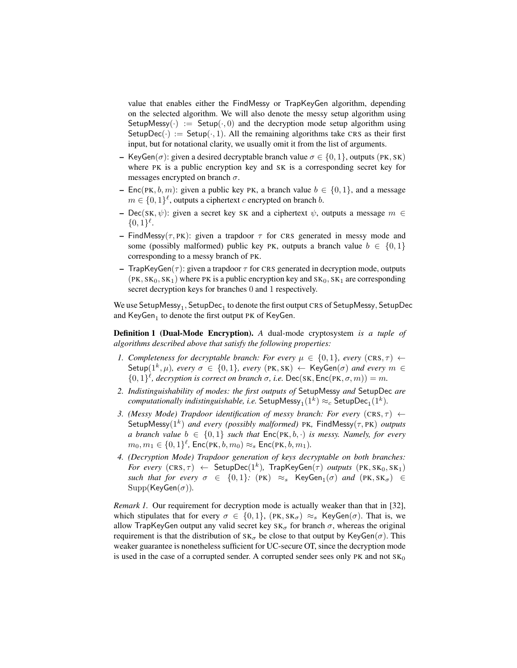value that enables either the FindMessy or TrapKeyGen algorithm, depending on the selected algorithm. We will also denote the messy setup algorithm using SetupMessy( $\cdot$ ) := Setup( $\cdot$ , 0) and the decryption mode setup algorithm using SetupDec( $\cdot$ ) := Setup( $\cdot$ , 1). All the remaining algorithms take CRS as their first input, but for notational clarity, we usually omit it from the list of arguments.

- KeyGen( $\sigma$ ): given a desired decryptable branch value  $\sigma \in \{0, 1\}$ , outputs (PK, SK) where PK is a public encryption key and SK is a corresponding secret key for messages encrypted on branch  $\sigma$ .
- Enc(PK, b, m): given a public key PK, a branch value  $b \in \{0, 1\}$ , and a message  $m \in \{0,1\}^{\ell}$ , outputs a ciphertext c encrypted on branch b.
- Dec(SK,  $\psi$ ): given a secret key SK and a ciphertext  $\psi$ , outputs a message  $m \in$  ${0,1}^{\ell}.$
- FindMessy( $\tau$ , PK): given a trapdoor  $\tau$  for CRS generated in messy mode and some (possibly malformed) public key PK, outputs a branch value  $b \in \{0, 1\}$ corresponding to a messy branch of PK.
- TrapKeyGen( $\tau$ ): given a trapdoor  $\tau$  for CRS generated in decryption mode, outputs  $(PK, SK_0, SK_1)$  where PK is a public encryption key and  $SK_0, SK_1$  are corresponding secret decryption keys for branches 0 and 1 respectively.

We use SetupMessy $_1,$  SetupDec $_1$  to denote the first output CRS of SetupMessy, SetupDec and  $\mathsf{KeyGen}_1$  to denote the first output PK of  $\mathsf{KeyGen}.$ 

Definition 1 (Dual-Mode Encryption). *A* dual-mode cryptosystem *is a tuple of algorithms described above that satisfy the following properties:*

- *1. Completeness for decryptable branch: For every*  $\mu \in \{0, 1\}$ , every  $(CRS, \tau)$   $\leftarrow$ Setup( $1^k$ ,  $\mu$ )*, every*  $\sigma \in \{0, 1\}$ *, every* (PK, SK)  $\leftarrow$  KeyGen( $\sigma$ ) and every  $m \in$  $\{0,1\}^{\ell}$ , decryption is correct on branch  $\sigma$ , i.e. Dec(SK, Enc(PK,  $\sigma$ , m)) = m.
- *2. Indistinguishability of modes: the first outputs of* SetupMessy *and* SetupDec *are*  $\emph{computationally indistinguishable, i.e.}$  Setup $\mathsf{Message}_1(1^k) \approx_c \mathsf{SetupDec}_1(1^k).$
- *3. (Messy Mode) Trapdoor identification of messy branch: For every*  $(CRS, \tau) \leftarrow$ SetupMessy(1<sup>k</sup> ) *and every (possibly malformed)* PK*,* FindMessy(τ, PK) *outputs a branch value*  $b \in \{0,1\}$  *such that*  $Enc(PK, b, \cdot)$  *is messy. Namely, for every*  $m_0, m_1 \in \{0, 1\}^{\ell}$ , Enc $(\text{PK}, b, m_0) \approx_s \text{Enc}(\text{PK}, b, m_1)$ .
- *4. (Decryption Mode) Trapdoor generation of keys decryptable on both branches:*  $\mathit{For\ every} \ (\mathtt{CRS},\tau) \ \leftarrow \ \mathsf{SetupDec}(1^k),\ \mathsf{TrapKeyGen}(\tau) \ \mathit{outputs} \ (\mathtt{PK},\mathtt{SK}_0,\mathtt{SK}_1)$ *such that for every*  $\sigma \in \{0,1\}$ :  $(PK) \approx_s R$ eyGen $_1(\sigma)$  *and*  $(PK, SK_{\sigma}) \in$  $Supp(KeyGen(\sigma)).$

*Remark 1.* Our requirement for decryption mode is actually weaker than that in [32], which stipulates that for every  $\sigma \in \{0, 1\}$ ,  $(\text{PK}, \text{SK}_\sigma) \approx_s \text{KeyGen}(\sigma)$ . That is, we allow TrapKeyGen output any valid secret key  $SK_{\sigma}$  for branch  $\sigma$ , whereas the original requirement is that the distribution of  $SK_{\sigma}$  be close to that output by KeyGen( $\sigma$ ). This weaker guarantee is nonetheless sufficient for UC-secure OT, since the decryption mode is used in the case of a corrupted sender. A corrupted sender sees only PK and not  $SK_0$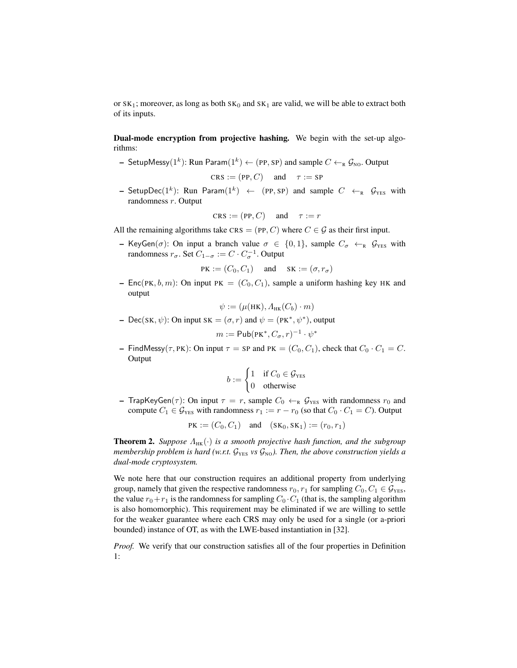or  $SK_1$ ; moreover, as long as both  $SK_0$  and  $SK_1$  are valid, we will be able to extract both of its inputs.

Dual-mode encryption from projective hashing. We begin with the set-up algorithms:

 $-$  SetupMessy $(1^k)$ : Run Param $(1^k) \leftarrow$  (PP, SP) and sample  $C \leftarrow_\text{\tiny R} \mathcal{G}_\text{\tiny NO}.$  Output

 $CRS := (PP, C)$  and  $\tau := SP$ 

 $-$  SetupDec $(1^k)$ : Run Param $(1^k)$   $\;\gets\;$  (PP, SP) and sample  $C$   $\;\gets_\text{\tiny R}\;$   $\mathcal{G}_\text{\tiny YES}$  with randomness r. Output

$$
CRS := (PP, C) \quad \text{and} \quad \tau := r
$$

All the remaining algorithms take CRS = (PP, C) where  $C \in \mathcal{G}$  as their first input.

– KeyGen( $\sigma$ ): On input a branch value  $\sigma \in \{0, 1\}$ , sample  $C_{\sigma} \leftarrow_R \mathcal{G}_{\text{YES}}$  with randomness  $r_{\sigma}$ . Set  $C_{1-\sigma} := C \cdot C_{\sigma}^{-1}$ . Output

$$
PK := (C_0, C_1) \quad \text{and} \quad SK := (\sigma, r_{\sigma})
$$

– Enc(PK, b, m): On input PK =  $(C_0, C_1)$ , sample a uniform hashing key HK and output

$$
\psi := (\mu(HK), A_{HK}(C_b) \cdot m)
$$

 $\text{– Dec}(SK, \psi)$ : On input SK =  $(\sigma, r)$  and  $\psi$  = (PK<sup>\*</sup>,  $\psi^*$ ), output

$$
m := \mathsf{Pub}(\mathsf{PK}^*, C_\sigma, r)^{-1} \cdot \psi^*
$$

– FindMessy( $\tau$ , PK): On input  $\tau$  = SP and PK =  $(C_0, C_1)$ , check that  $C_0 \cdot C_1 = C$ . **Output** 

$$
b := \begin{cases} 1 & \text{if } C_0 \in \mathcal{G}_{\text{YES}} \\ 0 & \text{otherwise} \end{cases}
$$

– TrapKeyGen( $\tau$ ): On input  $\tau = r$ , sample  $C_0 \leftarrow_R \mathcal{G}_{\text{YES}}$  with randomness  $r_0$  and compute  $C_1 \in \mathcal{G}_{\text{YES}}$  with randomness  $r_1 := r - r_0$  (so that  $C_0 \cdot C_1 = C$ ). Output

$$
PK := (C_0, C_1) \quad \text{and} \quad (SK_0, SK_1) := (r_0, r_1)
$$

**Theorem 2.** *Suppose*  $\Lambda_{HK}(\cdot)$  *is a smooth projective hash function, and the subgroup membership problem is hard (w.r.t.*  $\mathcal{G}_{\text{YES}}$  *vs*  $\mathcal{G}_{\text{NO}}$ *). Then, the above construction yields a dual-mode cryptosystem.*

We note here that our construction requires an additional property from underlying group, namely that given the respective randomness  $r_0, r_1$  for sampling  $C_0, C_1 \in \mathcal{G}_{\text{YES}}$ , the value  $r_0+r_1$  is the randomness for sampling  $C_0 \cdot C_1$  (that is, the sampling algorithm is also homomorphic). This requirement may be eliminated if we are willing to settle for the weaker guarantee where each CRS may only be used for a single (or a-priori bounded) instance of OT, as with the LWE-based instantiation in [32].

*Proof.* We verify that our construction satisfies all of the four properties in Definition 1: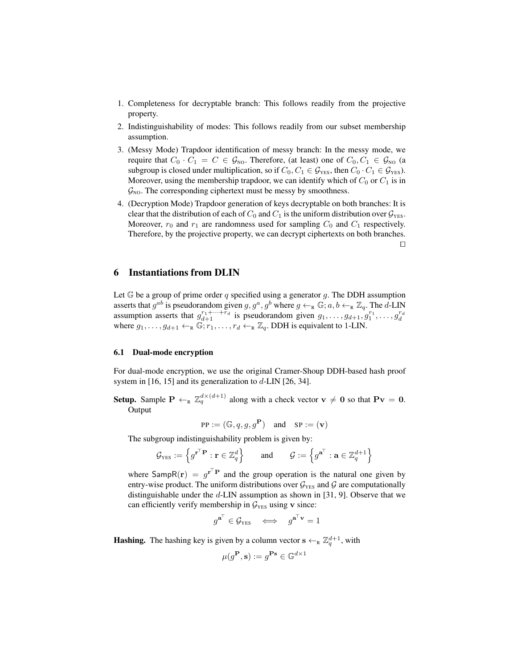- 1. Completeness for decryptable branch: This follows readily from the projective property.
- 2. Indistinguishability of modes: This follows readily from our subset membership assumption.
- 3. (Messy Mode) Trapdoor identification of messy branch: In the messy mode, we require that  $C_0 \cdot C_1 = C \in \mathcal{G}_{\text{NO}}$ . Therefore, (at least) one of  $C_0, C_1 \in \mathcal{G}_{\text{NO}}$  (a subgroup is closed under multiplication, so if  $C_0, C_1 \in \mathcal{G}_{\text{YES}}$ , then  $C_0 \cdot C_1 \in \mathcal{G}_{\text{YES}}$ . Moreover, using the membership trapdoor, we can identify which of  $C_0$  or  $C_1$  is in  $\mathcal{G}_{\text{NO}}$ . The corresponding ciphertext must be messy by smoothness.
- 4. (Decryption Mode) Trapdoor generation of keys decryptable on both branches: It is clear that the distribution of each of  $C_0$  and  $C_1$  is the uniform distribution over  $\mathcal{G}_{\text{YES}}$ . Moreover,  $r_0$  and  $r_1$  are randomness used for sampling  $C_0$  and  $C_1$  respectively. Therefore, by the projective property, we can decrypt ciphertexts on both branches.  $\Box$

### 6 Instantiations from DLIN

Let  $\mathbb G$  be a group of prime order q specified using a generator g. The DDH assumption asserts that  $g^{ab}$  is pseudorandom given  $g, g^a, g^b$  where  $g \leftarrow_R \mathbb{G}; a, b \leftarrow_R \mathbb{Z}_q$ . The d-LIN assumption asserts that  $g_{d+1}^{r_1+\cdots+r_d}$  is pseudorandom given  $g_1,\ldots,g_{d+1}, g_1^{r_1},\ldots,g_d^{r_d}$ where  $g_1, \ldots, g_{d+1} \leftarrow_R \mathbb{G}; r_1, \ldots, r_d \leftarrow_R \mathbb{Z}_q$ . DDH is equivalent to 1-LIN.

### 6.1 Dual-mode encryption

For dual-mode encryption, we use the original Cramer-Shoup DDH-based hash proof system in [16, 15] and its generalization to d-LIN [26, 34].

**Setup.** Sample  $P \leftarrow_R \mathbb{Z}_q^{d \times (d+1)}$  along with a check vector  $\mathbf{v} \neq \mathbf{0}$  so that  $P\mathbf{v} = \mathbf{0}$ . **Output** 

$$
PP := (\mathbb{G}, q, g, g^P) \text{ and } SP := (\mathbf{v})
$$

The subgroup indistinguishability problem is given by:

$$
\mathcal{G}_{\texttt{YES}} := \Big\{ g^{\mathbf{r}^\top \mathbf{P}} : \mathbf{r} \in \mathbb{Z}_q^d \Big\} \qquad \text{and} \qquad \mathcal{G} := \Big\{ g^{\mathbf{a}^\top} : \mathbf{a} \in \mathbb{Z}_q^{d+1} \Big\}
$$

where  $\textsf{SampR}(\mathbf{r}) = g^{\mathbf{r}^{\mathrm{T}} \mathbf{P}}$  and the group operation is the natural one given by entry-wise product. The uniform distributions over  $\mathcal{G}_{\text{YES}}$  and G are computationally distinguishable under the d-LIN assumption as shown in [31, 9]. Observe that we can efficiently verify membership in  $G_{\text{YES}}$  using v since:

$$
g^{\mathbf{a}^\top} \in \mathcal{G}_{\text{YES}} \quad \Longleftrightarrow \quad g^{\mathbf{a}^\top \mathbf{v}} = 1
$$

**Hashing.** The hashing key is given by a column vector  $\mathbf{s} \leftarrow_{\mathbb{R}} \mathbb{Z}_q^{d+1}$ , with

$$
\mu(g^{\mathbf{P}}, \mathbf{s}) := g^{\mathbf{P}\mathbf{s}} \in \mathbb{G}^{d \times 1}
$$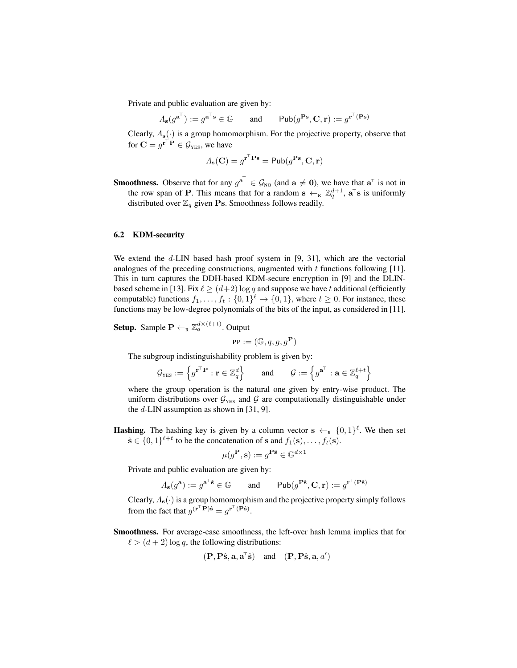Private and public evaluation are given by:

$$
\Lambda_{\mathbf{s}}(g^{\mathbf{a}^{\top}}) := g^{\mathbf{a}^{\top}\mathbf{s}} \in \mathbb{G} \quad \text{and} \quad \text{Pub}(g^{\mathbf{P}\mathbf{s}}, \mathbf{C}, \mathbf{r}) := g^{\mathbf{r}^{\top}(\mathbf{P}\mathbf{s})}
$$

Clearly,  $\Lambda_{\mathbf{s}}(\cdot)$  is a group homomorphism. For the projective property, observe that for  $\mathbf{C} = g^{\mathbf{r}^\top \mathbf{P}} \in \mathcal{G}_{\text{\tiny{YES}}}$ , we have

$$
\varLambda_{\mathbf{s}}(\mathbf{C}) = g^{\mathbf{r}^\top \mathbf{P} \mathbf{s}} = \mathsf{Pub}(g^{\mathbf{P} \mathbf{s}}, \mathbf{C}, \mathbf{r})
$$

**Smoothness.** Observe that for any  $g^{\mathbf{a}^\top} \in \mathcal{G}_{\text{NO}}$  (and  $\mathbf{a} \neq \mathbf{0}$ ), we have that  $\mathbf{a}^\top$  is not in the row span of **P**. This means that for a random  $s \leftarrow_R \mathbb{Z}_q^{d+1}$ ,  $a^{\top}s$  is uniformly distributed over  $\mathbb{Z}_q$  given Ps. Smoothness follows readily.

### 6.2 KDM-security

We extend the d-LIN based hash proof system in [9, 31], which are the vectorial analogues of the preceding constructions, augmented with  $t$  functions following [11]. This in turn captures the DDH-based KDM-secure encryption in [9] and the DLINbased scheme in [13]. Fix  $\ell \ge (d+2) \log q$  and suppose we have t additional (efficiently computable) functions  $f_1, \ldots, f_t : \{0,1\}^{\ell} \to \{0,1\}$ , where  $t \geq 0$ . For instance, these functions may be low-degree polynomials of the bits of the input, as considered in [11].

**Setup.** Sample  $\mathbf{P} \leftarrow_{\mathsf{R}} \mathbb{Z}_q^{d \times (\ell+t)}$ . Output

$$
\mathtt{PP} := (\mathbb{G}, q, g, g^{\mathbf{P}})
$$

The subgroup indistinguishability problem is given by:

$$
\mathcal{G}_{\text{\tiny{YES}}} := \left\{ g^{\mathbf{r}^\top \mathbf{P}} : \mathbf{r} \in \mathbb{Z}_q^d \right\} \qquad \text{and} \qquad \mathcal{G} := \left\{ g^{\mathbf{a}^\top} : \mathbf{a} \in \mathbb{Z}_q^{\ell+t} \right\}
$$

where the group operation is the natural one given by entry-wise product. The uniform distributions over  $G_{\text{YES}}$  and G are computationally distinguishable under the  $d$ -LIN assumption as shown in [31, 9].

**Hashing.** The hashing key is given by a column vector  $\mathbf{s} \leftarrow_R \{0,1\}^{\ell}$ . We then set  $\hat{\mathbf{s}} \in \{0,1\}^{\ell+t}$  to be the concatenation of s and  $f_1(\mathbf{s}), \ldots, f_t(\mathbf{s})$ .

$$
\mu(g^{\mathbf{P}}, \mathbf{s}) := g^{\mathbf{P}\hat{\mathbf{s}}} \in \mathbb{G}^{d \times 1}
$$

Private and public evaluation are given by:

$$
\Lambda_{\mathbf{s}}(g^{\mathbf{a}}) := g^{\mathbf{a}^{\top}\hat{\mathbf{s}}} \in \mathbb{G} \quad \text{and} \quad \text{Pub}(g^{\mathbf{P}\hat{\mathbf{s}}}, \mathbf{C}, \mathbf{r}) := g^{\mathbf{r}^{\top}(\mathbf{P}\hat{\mathbf{s}})}
$$

Clearly,  $\Lambda_{\mathbf{s}}(\cdot)$  is a group homomorphism and the projective property simply follows from the fact that  $g^{(\mathbf{r}^\top \mathbf{P})\hat{\mathbf{s}}} = g^{\mathbf{r}^\top (\mathbf{P}\hat{\mathbf{s}})}$ .

Smoothness. For average-case smoothness, the left-over hash lemma implies that for  $\ell > (d + 2) \log q$ , the following distributions:

$$
(\mathbf{P}, \mathbf{P}\hat{\mathbf{s}}, \mathbf{a}, \mathbf{a}^{\top}\hat{\mathbf{s}}) \quad \text{and} \quad (\mathbf{P}, \mathbf{P}\hat{\mathbf{s}}, \mathbf{a}, a')
$$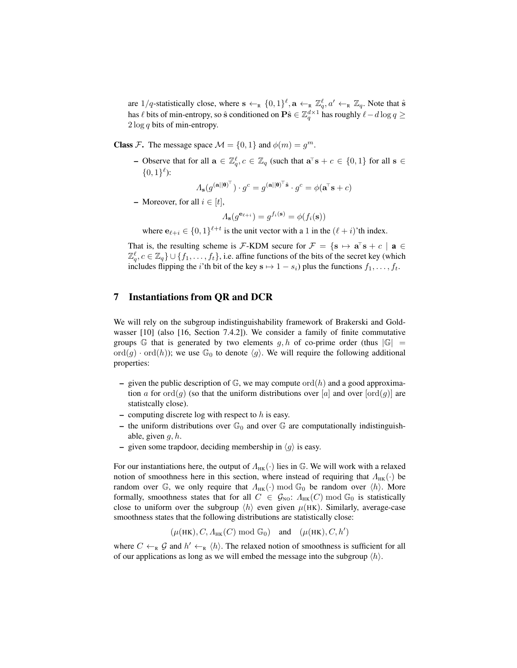are 1/q-statistically close, where  $\mathbf{s} \leftarrow_R \{0,1\}^{\ell}, \mathbf{a} \leftarrow_R \mathbb{Z}_q^{\ell}, a' \leftarrow_R \mathbb{Z}_q$ . Note that  $\hat{\mathbf{s}}$ has  $\ell$  bits of min-entropy, so  $\hat{\bf s}$  conditioned on  ${\bf P}\hat{\bf s}\in \mathbb{Z}_q^{d\times 1}$  has roughly  $\ell-d\log q\geq 0$  $2 \log q$  bits of min-entropy.

**Class** F. The message space  $\mathcal{M} = \{0, 1\}$  and  $\phi(m) = g^m$ .

- Observe that for all  $\mathbf{a} \in \mathbb{Z}_q^{\ell}$ ,  $c \in \mathbb{Z}_q$  (such that  $\mathbf{a}^{\top} \mathbf{s} + c \in \{0, 1\}$  for all  $\mathbf{s} \in \mathbb{Z}_q$  $\{0,1\}^{\ell}$ :

$$
\varLambda_{\mathbf{s}}(g^{(\mathbf{a}||\mathbf{0})^{\top}}) \cdot g^c = g^{(\mathbf{a}||\mathbf{0})^{\top} \hat{\mathbf{s}}} \cdot g^c = \phi(\mathbf{a}^{\top}\mathbf{s} + c)
$$

– Moreover, for all  $i \in [t]$ ,

$$
\Lambda_{\mathbf{s}}(g^{\mathbf{e}_{\ell+i}}) = g^{f_i(\mathbf{s})} = \phi(f_i(\mathbf{s}))
$$

where  $e_{\ell+i} \in \{0, 1\}^{\ell+i}$  is the unit vector with a 1 in the  $(\ell + i)$ 'th index.

That is, the resulting scheme is F-KDM secure for  $\mathcal{F} = \{s \mapsto a^{\top}s + c \mid a \in \mathcal{F}\}$  $\mathbb{Z}_q^{\ell}, c \in \mathbb{Z}_q$  }  $\cup$  { $f_1, \ldots, f_t$ }, i.e. affine functions of the bits of the secret key (which includes flipping the *i*'th bit of the key  $s \mapsto 1 - s_i$ ) plus the functions  $f_1, \ldots, f_t$ .

### 7 Instantiations from QR and DCR

We will rely on the subgroup indistinguishability framework of Brakerski and Goldwasser [10] (also [16, Section 7.4.2]). We consider a family of finite commutative groups G that is generated by two elements g, h of co-prime order (thus  $|\mathbb{G}|$  = ord $(g)$  · ord $(h)$ ); we use  $\mathbb{G}_0$  to denote  $\langle g \rangle$ . We will require the following additional properties:

- given the public description of  $\mathbb{G}$ , we may compute ord(h) and a good approximation a for  $\text{ord}(q)$  (so that the uniform distributions over [a] and over  $[\text{ord}(q)]$  are statistcally close).
- $-$  computing discrete log with respect to  $h$  is easy.
- the uniform distributions over  $\mathbb{G}_0$  and over  $\mathbb{G}$  are computationally indistinguishable, given  $q, h$ .
- given some trapdoor, deciding membership in  $\langle q \rangle$  is easy.

For our instantiations here, the output of  $\Lambda_{HK}(\cdot)$  lies in G. We will work with a relaxed notion of smoothness here in this section, where instead of requiring that  $\Lambda_{HK}(\cdot)$  be random over  $\mathbb{G}$ , we only require that  $\Lambda_{HK}(\cdot) \mod \mathbb{G}_0$  be random over  $\langle h \rangle$ . More formally, smoothness states that for all  $C \in \mathcal{G}_{\text{NO}}$ :  $\Lambda_{\text{HK}}(C) \mod \mathbb{G}_0$  is statistically close to uniform over the subgroup  $\langle h \rangle$  even given  $\mu$ (HK). Similarly, average-case smoothness states that the following distributions are statistically close:

 $(\mu(HK), C, \Lambda_{HK}(C) \text{ mod } \mathbb{G}_0)$  and  $(\mu(HK), C, h')$ 

where  $C \leftarrow_R \mathcal{G}$  and  $h' \leftarrow_R \langle h \rangle$ . The relaxed notion of smoothness is sufficient for all of our applications as long as we will embed the message into the subgroup  $\langle h \rangle$ .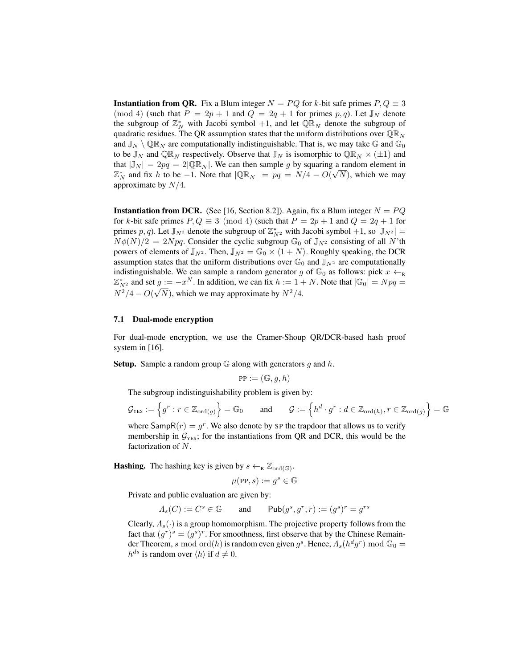**Instantiation from QR.** Fix a Blum integer  $N = PQ$  for k-bit safe primes  $P, Q \equiv 3$ (mod 4) (such that  $P = 2p + 1$  and  $Q = 2q + 1$  for primes p, q). Let  $\mathbb{J}_N$  denote the subgroup of  $\mathbb{Z}_N^*$  with Jacobi symbol  $+1$ , and let  $\mathbb{QR}_N$  denote the subgroup of quadratic residues. The QR assumption states that the uniform distributions over  $\mathbb{QR}_N$ and  $\mathbb{J}_N \setminus \mathbb{Q} \mathbb{R}_N$  are computationally indistinguishable. That is, we may take G and  $\mathbb{G}_0$ to be  $\mathbb{J}_N$  and  $\mathbb{QR}_N$  respectively. Observe that  $\mathbb{J}_N$  is isomorphic to  $\mathbb{QR}_N \times (\pm 1)$  and that  $|\mathbb{J}_N| = 2pq = 2|\mathbb{QR}_N|$ . We can then sample g by squaring a random element in  $\mathbb{Z}_N^*$  and fix h to be -1. Note that  $|\mathbb{Q}\mathbb{R}_N| = pq = N/4 - O(\sqrt{N})$ , which we may approximate by  $N/4$ .

**Instantiation from DCR.** (See [16, Section 8.2]). Again, fix a Blum integer  $N = PQ$ for k-bit safe primes  $P, Q \equiv 3 \pmod{4}$  (such that  $P = 2p + 1$  and  $Q = 2q + 1$  for primes p, q). Let  $\mathbb{J}_{N^2}$  denote the subgroup of  $\mathbb{Z}_{N^2}^*$  with Jacobi symbol +1, so  $|\mathbb{J}_{N^2}|$  =  $N\phi(N)/2 = 2Npq$ . Consider the cyclic subgroup  $\mathbb{G}_0$  of  $\mathbb{J}_{N^2}$  consisting of all N'th powers of elements of  $\mathbb{J}_{N^2}$ . Then,  $\mathbb{J}_{N^2} = \mathbb{G}_0 \times \langle 1 + N \rangle$ . Roughly speaking, the DCR assumption states that the uniform distributions over  $\mathbb{G}_0$  and  $\mathbb{J}_{N^2}$  are computationally indistinguishable. We can sample a random generator g of  $\mathbb{G}_0$  as follows: pick  $x \leftarrow_R$  $\mathbb{Z}_{N^2}^*$  and set  $g := -x^N$ . In addition, we can fix  $h := 1 + N$ . Note that  $|\mathbb{G}_0| = Npq =$  $N^2/4 - O(\sqrt{N})$ , which we may approximate by  $N^2/4$ .

### 7.1 Dual-mode encryption

For dual-mode encryption, we use the Cramer-Shoup QR/DCR-based hash proof system in [16].

**Setup.** Sample a random group  $\mathbb{G}$  along with generators g and h.

$$
\text{PP} := (\mathbb{G}, g, h)
$$

The subgroup indistinguishability problem is given by:

$$
\mathcal{G}_{\text{YES}} := \left\{ g^r : r \in \mathbb{Z}_{\text{ord}(g)} \right\} = \mathbb{G}_0 \quad \text{and} \quad \mathcal{G} := \left\{ h^d \cdot g^r : d \in \mathbb{Z}_{\text{ord}(h)}, r \in \mathbb{Z}_{\text{ord}(g)} \right\} = \mathbb{G}
$$

where  $\mathsf{Sample}(r) = g^r$ . We also denote by SP the trapdoor that allows us to verify membership in  $G_{\text{YES}}$ ; for the instantiations from QR and DCR, this would be the factorization of N.

**Hashing.** The hashing key is given by  $s \leftarrow_R \mathbb{Z}_{\text{ord}(\mathbb{G})}$ .

$$
\mu(\text{PP}, s) := g^s \in \mathbb{G}
$$

Private and public evaluation are given by:

$$
\Lambda_s(C) := C^s \in \mathbb{G} \qquad \text{and} \qquad \mathsf{Pub}(g^s, g^r, r) := (g^s)^r = g^{rs}
$$

Clearly,  $\Lambda_s(\cdot)$  is a group homomorphism. The projective property follows from the fact that  $(g<sup>r</sup>)<sup>s</sup> = (g<sup>s</sup>)<sup>r</sup>$ . For smoothness, first observe that by the Chinese Remainder Theorem, s mod ord $(h)$  is random even given  $g^s$ . Hence,  $\Lambda_s(h^d g^r)$  mod  $\mathbb{G}_0 =$  $h^{ds}$  is random over  $\langle h \rangle$  if  $d \neq 0$ .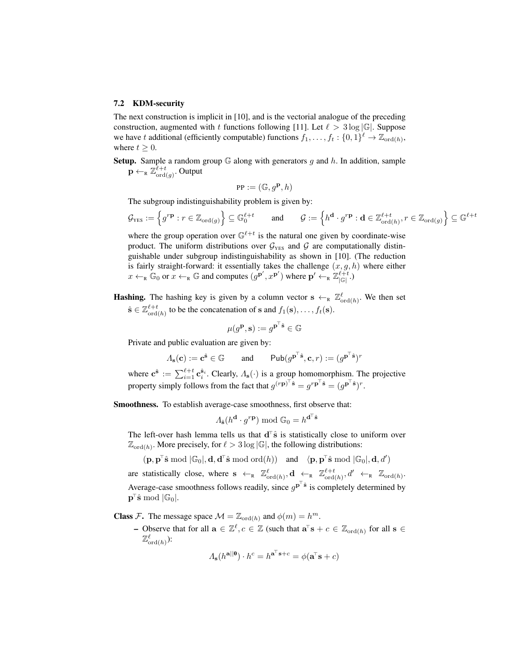#### 7.2 KDM-security

The next construction is implicit in [10], and is the vectorial analogue of the preceding construction, augmented with t functions following [11]. Let  $\ell > 3 \log |\mathbb{G}|$ . Suppose we have t additional (efficiently computable) functions  $f_1, \ldots, f_t : \{0,1\}^{\ell} \to \mathbb{Z}_{\text{ord}(h)}$ , where  $t \geq 0$ .

**Setup.** Sample a random group  $G$  along with generators g and h. In addition, sample  $\bar{\mathbf{p}} \leftarrow_{\substack{\mathsf{R}\}\mathbb{Z}^{l+t}_{\mathrm{ord}(g)}}$ . Output

$$
PP := (\mathbb{G}, g^{\mathbf{p}}, h)
$$

The subgroup indistinguishability problem is given by:

$$
\mathcal{G}_{\mathrm{YES}} := \left\{ g^{r\mathbf{p}} : r \in \mathbb{Z}_{\mathrm{ord}(g)} \right\} \subseteq \mathbb{G}_0^{\ell+t} \quad \text{and} \quad \mathcal{G} := \left\{ h^{\mathbf{d}} \cdot g^{r\mathbf{p}} : \mathbf{d} \in \mathbb{Z}_{\mathrm{ord}(h)}^{\ell+t}, r \in \mathbb{Z}_{\mathrm{ord}(g)} \right\} \subseteq \mathbb{G}^{\ell+t}
$$

where the group operation over  $\mathbb{G}^{\ell+t}$  is the natural one given by coordinate-wise product. The uniform distributions over  $G_{\text{YES}}$  and G are computationally distinguishable under subgroup indistinguishability as shown in [10]. (The reduction is fairly straight-forward: it essentially takes the challenge  $(x, g, h)$  where either  $x \leftarrow_R \mathbb{G}_0$  or  $x \leftarrow_R \mathbb{G}$  and computes  $(g^{\mathbf{p}'}, x^{\mathbf{p}'})$  where  $\mathbf{p}' \leftarrow_R \mathbb{Z}_{|\mathbb{G}|}^{\ell+i}$ .

**Hashing.** The hashing key is given by a column vector  $s \leftarrow_R \mathbb{Z}^{\ell}_{\mathrm{ord}(h)}$ . We then set  $\hat{\mathbf{s}} \in \mathbb{Z}_{\text{ord}(h)}^{\ell+t}$  to be the concatenation of s and  $f_1(\mathbf{s}), \ldots, f_t(\mathbf{s})$ .

$$
\mu(g^{\mathbf{p}},\mathbf{s}):=g^{\mathbf{p}^{\!\top} \hat{\mathbf{s}}}\in \mathbb{G}
$$

Private and public evaluation are given by:

$$
\Lambda_{\mathbf{s}}(\mathbf{c}) := \mathbf{c}^{\hat{\mathbf{s}}} \in \mathbb{G} \quad \text{and} \quad \text{Pub}(g^{\mathbf{p}^{\top} \hat{\mathbf{s}}}, \mathbf{c}, r) := (g^{\mathbf{p}^{\top} \hat{\mathbf{s}}})^r
$$

where  $\mathbf{c}^{\hat{\mathbf{s}}} := \sum_{i=1}^{\ell+t} \mathbf{c}_i^{\hat{\mathbf{s}}_i}$ . Clearly,  $\Lambda_{\mathbf{s}}(\cdot)$  is a group homomorphism. The projective property simply follows from the fact that  $g^{(r\mathbf{p})^{\top}\hat{\mathbf{s}}} = g^{r\mathbf{p}^{\top}\hat{\mathbf{s}}} = (g^{\mathbf{p}^{\top}\hat{\mathbf{s}}})^r$ .

Smoothness. To establish average-case smoothness, first observe that:

$$
\Lambda_{\hat{\mathbf{s}}}(h^{\mathbf{d}} \cdot g^{r\mathbf{p}}) \bmod \mathbb{G}_0 = h^{\mathbf{d}^\top \hat{\mathbf{s}}}
$$

The left-over hash lemma tells us that  $d^{\dagger} \hat{s}$  is statistically close to uniform over  $\mathbb{Z}_{\text{ord}(h)}$ . More precisely, for  $\ell > 3 \log |\mathbb{G}|$ , the following distributions:

 $(\mathbf{p}, \mathbf{p}^{\top} \hat{\mathbf{s}} \bmod |\mathbb{G}_0|, \mathbf{d}, \mathbf{d}^{\top} \hat{\mathbf{s}} \bmod \text{ord}(h))$  and  $\langle \mathbf{p}, \mathbf{p}^{\top} \hat{\mathbf{s}} \bmod |\mathbb{G}_0|, \mathbf{d}, d'$ 

are statistically close, where  $s \leftarrow_R \mathbb{Z}^{\ell}_{\text{ord}(h)}, d \leftarrow_R \mathbb{Z}^{\ell+t}_{\text{ord}(h)}, d' \leftarrow_R \mathbb{Z}_{\text{ord}(h)}.$ Average-case smoothness follows readily, since  $g^{p^{\top} s}$  is completely determined by  $\mathbf{p}^{\dagger}$ ŝ mod  $|\mathbb{G}_0|$ .

**Class F.** The message space  $\mathcal{M} = \mathbb{Z}_{\text{ord}(h)}$  and  $\phi(m) = h^m$ .

- Observe that for all  $\mathbf{a} \in \mathbb{Z}^{\ell}, c \in \mathbb{Z}$  (such that  $\mathbf{a}^{\mathsf{T}}\mathbf{s} + c \in \mathbb{Z}_{\text{ord}(h)}$  for all  $\mathbf{s} \in$  $\mathbb{Z}^{\ell}_{\mathrm{ord}(h)}$ ):

$$
\Lambda_{\mathbf{s}}(h^{\mathbf{a}||\mathbf{0}}) \cdot h^c = h^{\mathbf{a}^\top \mathbf{s} + c} = \phi(\mathbf{a}^\top \mathbf{s} + c)
$$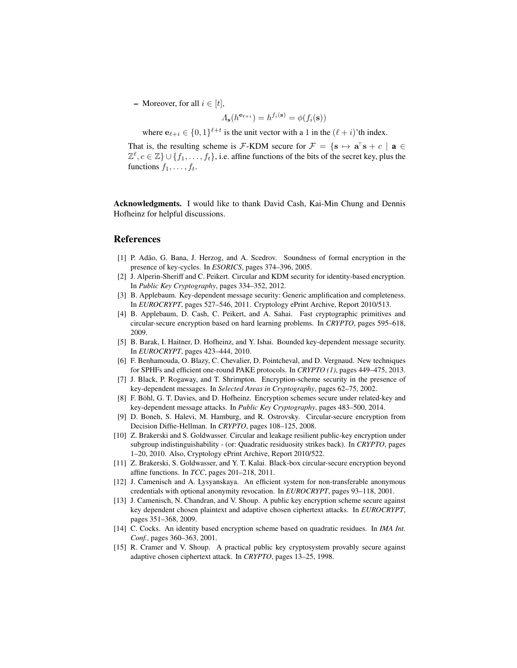– Moreover, for all  $i \in [t]$ ,

$$
\Lambda_{\mathbf{s}}(h^{\mathbf{e}_{\ell+i}}) = h^{f_i(\mathbf{s})} = \phi(f_i(\mathbf{s}))
$$

where  $e_{\ell+i} \in \{0, 1\}^{\ell+i}$  is the unit vector with a 1 in the  $(\ell + i)$ 'th index.

That is, the resulting scheme is F-KDM secure for  $\mathcal{F} = \{s \mapsto a^{\top}s + c \mid a \in \mathcal{F}\}$  $\mathbb{Z}^{\ell}, c \in \mathbb{Z} \} \cup \{f_1, \ldots, f_t\},$  i.e. affine functions of the bits of the secret key, plus the functions  $f_1, \ldots, f_t$ .

Acknowledgments. I would like to thank David Cash, Kai-Min Chung and Dennis Hofheinz for helpful discussions.

### References

- [1] P. Adão, G. Bana, J. Herzog, and A. Scedrov. Soundness of formal encryption in the presence of key-cycles. In *ESORICS*, pages 374–396, 2005.
- [2] J. Alperin-Sheriff and C. Peikert. Circular and KDM security for identity-based encryption. In *Public Key Cryptography*, pages 334–352, 2012.
- [3] B. Applebaum. Key-dependent message security: Generic amplification and completeness. In *EUROCRYPT*, pages 527–546, 2011. Cryptology ePrint Archive, Report 2010/513.
- [4] B. Applebaum, D. Cash, C. Peikert, and A. Sahai. Fast cryptographic primitives and circular-secure encryption based on hard learning problems. In *CRYPTO*, pages 595–618, 2009.
- [5] B. Barak, I. Haitner, D. Hofheinz, and Y. Ishai. Bounded key-dependent message security. In *EUROCRYPT*, pages 423–444, 2010.
- [6] F. Benhamouda, O. Blazy, C. Chevalier, D. Pointcheval, and D. Vergnaud. New techniques for SPHFs and efficient one-round PAKE protocols. In *CRYPTO (1)*, pages 449–475, 2013.
- [7] J. Black, P. Rogaway, and T. Shrimpton. Encryption-scheme security in the presence of key-dependent messages. In *Selected Areas in Cryptography*, pages 62–75, 2002.
- [8] F. Böhl, G. T. Davies, and D. Hofheinz. Encryption schemes secure under related-key and key-dependent message attacks. In *Public Key Cryptography*, pages 483–500, 2014.
- [9] D. Boneh, S. Halevi, M. Hamburg, and R. Ostrovsky. Circular-secure encryption from Decision Diffie-Hellman. In *CRYPTO*, pages 108–125, 2008.
- [10] Z. Brakerski and S. Goldwasser. Circular and leakage resilient public-key encryption under subgroup indistinguishability - (or: Quadratic residuosity strikes back). In *CRYPTO*, pages 1–20, 2010. Also, Cryptology ePrint Archive, Report 2010/522.
- [11] Z. Brakerski, S. Goldwasser, and Y. T. Kalai. Black-box circular-secure encryption beyond affine functions. In *TCC*, pages 201–218, 2011.
- [12] J. Camenisch and A. Lysyanskaya. An efficient system for non-transferable anonymous credentials with optional anonymity revocation. In *EUROCRYPT*, pages 93–118, 2001.
- [13] J. Camenisch, N. Chandran, and V. Shoup. A public key encryption scheme secure against key dependent chosen plaintext and adaptive chosen ciphertext attacks. In *EUROCRYPT*, pages 351–368, 2009.
- [14] C. Cocks. An identity based encryption scheme based on quadratic residues. In *IMA Int. Conf.*, pages 360–363, 2001.
- [15] R. Cramer and V. Shoup. A practical public key cryptosystem provably secure against adaptive chosen ciphertext attack. In *CRYPTO*, pages 13–25, 1998.